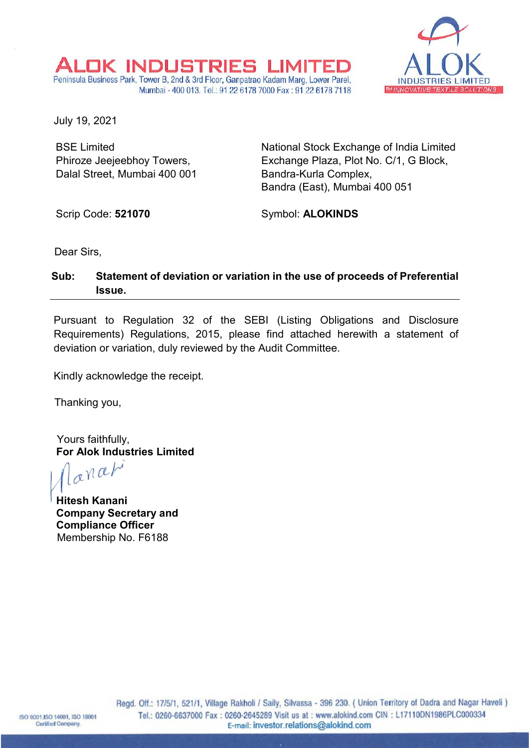

July 19, 2021

BSE Limited Phiroze Jeejeebhoy Towers, Dalal Street, Mumbai 400 001 National Stock Exchange of India Limited Exchange Plaza, Plot No. C/1, G Block, Bandra-Kurla Complex, Bandra (East), Mumbai 400 051

Scrip Code: **521070**

Symbol: **ALOKINDS**

Dear Sirs,

## **Sub: Statement of deviation or variation in the use of proceeds of Preferential Issue.**

OK INDUSTRIES LIMITE. Peninsula Business Park, Tower B, 2nd & 3rd Floor, Ganpatrao Kadam Marg, Lower Parel,

Mumbai - 400 013, Tel.: 91 22 6178 7000 Fax: 91 22 6178 7118

Pursuant to Regulation 32 of the SEBI (Listing Obligations and Disclosure Requirements) Regulations, 2015, please find attached herewith a statement of deviation or variation, duly reviewed by the Audit Committee.

Kindly acknowledge the receipt.

Thanking you,

Yours faithfully,

**For Alok Industries Limited**<br> $\int_{\mathbb{R}} \mathbb{R}^{\mathcal{N}} \mathbb{R}^{n}$ 

**Hitesh Kanani Company Secretary and Compliance Officer** Membership No. F6188